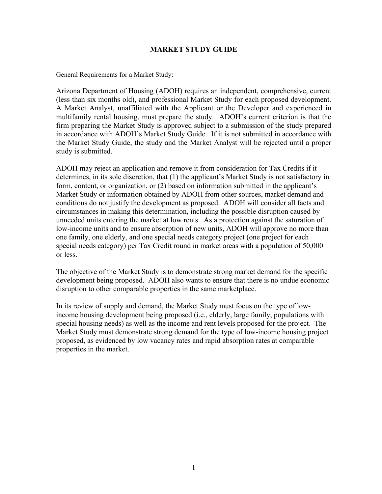# **MARKET STUDY GUIDE**

### General Requirements for a Market Study:

Arizona Department of Housing (ADOH) requires an independent, comprehensive, current (less than six months old), and professional Market Study for each proposed development. A Market Analyst, unaffiliated with the Applicant or the Developer and experienced in multifamily rental housing, must prepare the study. ADOH's current criterion is that the firm preparing the Market Study is approved subject to a submission of the study prepared in accordance with ADOH's Market Study Guide. If it is not submitted in accordance with the Market Study Guide, the study and the Market Analyst will be rejected until a proper study is submitted.

ADOH may reject an application and remove it from consideration for Tax Credits if it determines, in its sole discretion, that (1) the applicant's Market Study is not satisfactory in form, content, or organization, or (2) based on information submitted in the applicant's Market Study or information obtained by ADOH from other sources, market demand and conditions do not justify the development as proposed. ADOH will consider all facts and circumstances in making this determination, including the possible disruption caused by unneeded units entering the market at low rents. As a protection against the saturation of low-income units and to ensure absorption of new units, ADOH will approve no more than one family, one elderly, and one special needs category project (one project for each special needs category) per Tax Credit round in market areas with a population of 50,000 or less.

The objective of the Market Study is to demonstrate strong market demand for the specific development being proposed. ADOH also wants to ensure that there is no undue economic disruption to other comparable properties in the same marketplace.

In its review of supply and demand, the Market Study must focus on the type of lowincome housing development being proposed (i.e., elderly, large family, populations with special housing needs) as well as the income and rent levels proposed for the project. The Market Study must demonstrate strong demand for the type of low-income housing project proposed, as evidenced by low vacancy rates and rapid absorption rates at comparable properties in the market.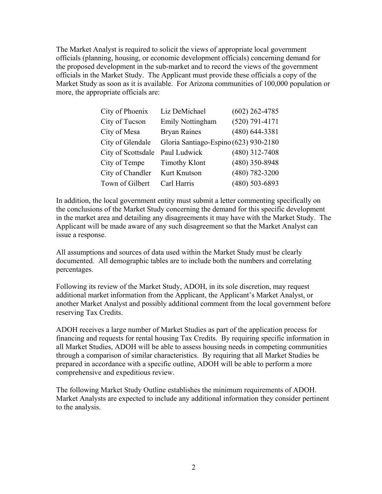The Market Analyst is required to solicit the views of appropriate local government officials (planning, housing, or economic development officials) concerning demand for the proposed development in the sub-market and to record the views of the government officials in the Market Study. The Applicant must provide these officials a copy of the Market Study as soon as it is available. For Arizona communities of 100,000 population or more, the appropriate officials are:

| City of Phoenix    | Liz DeMichael                         | $(602)$ 262-4785   |
|--------------------|---------------------------------------|--------------------|
| City of Tucson     | Emily Nottingham                      | $(520)$ 791-4171   |
| City of Mesa       | <b>Bryan Raines</b>                   | $(480)$ 644-3381   |
| City of Glendale   | Gloria Santiago-Espino (623) 930-2180 |                    |
| City of Scottsdale | Paul Ludwick                          | $(480)$ 312-7408   |
| City of Tempe      | <b>Timothy Klont</b>                  | $(480)$ 350-8948   |
| City of Chandler   | Kurt Knutson                          | $(480) 782 - 3200$ |
| Town of Gilbert    | Carl Harris                           | $(480)$ 503-6893   |

In addition, the local government entity must submit a letter commenting specifically on the conclusions of the Market Study concerning the demand for this specific development in the market area and detailing any disagreements it may have with the Market Study. The Applicant will be made aware of any such disagreement so that the Market Analyst can issue a response.

All assumptions and sources of data used within the Market Study must be clearly documented. All demographic tables are to include both the numbers and correlating percentages.

Following its review of the Market Study, ADOH, in its sole discretion, may request additional market information from the Applicant, the Applicant's Market Analyst, or another Market Analyst and possibly additional comment from the local government before reserving Tax Credits.

ADOH receives a large number of Market Studies as part of the application process for financing and requests for rental housing Tax Credits. By requiring specific information in all Market Studies, ADOH will be able to assess housing needs in competing communities through a comparison of similar characteristics. By requiring that all Market Studies be prepared in accordance with a specific outline, ADOH will be able to perform a more comprehensive and expeditious review.

The following Market Study Outline establishes the minimum requirements of ADOH. Market Analysts are expected to include any additional information they consider pertinent to the analysis.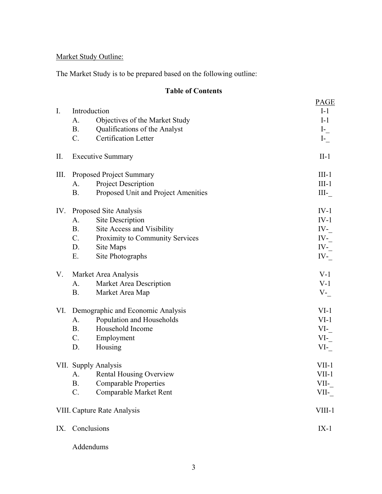# Market Study Outline:

The Market Study is to be prepared based on the following outline:

# **Table of Contents**

|             |             |                                     | <b>PAGE</b> |
|-------------|-------------|-------------------------------------|-------------|
| $I_{\cdot}$ |             | Introduction                        | $I-1$       |
|             | A.          | Objectives of the Market Study      | $I-1$       |
|             | <b>B.</b>   | Qualifications of the Analyst       | $I-$        |
|             | $C_{\cdot}$ | Certification Letter                | $I_{-}$     |
| II.         |             | <b>Executive Summary</b>            | $II-1$      |
| Ш.          |             | Proposed Project Summary            | $III-1$     |
|             | A.          | <b>Project Description</b>          | $III-1$     |
|             | <b>B.</b>   | Proposed Unit and Project Amenities | $III$ -     |
| IV.         |             | Proposed Site Analysis              | $IV-1$      |
|             | A.          | <b>Site Description</b>             | $IV-1$      |
|             | <b>B.</b>   | Site Access and Visibility          | $IV_{-}$    |
|             | C.          | Proximity to Community Services     | $IV_{-}$    |
|             | D.          | Site Maps                           | $IV_{-}$    |
|             | Ε.          | Site Photographs                    | $IV_{-}$    |
| V.          |             | Market Area Analysis                | $V-1$       |
|             | A.          | Market Area Description             | $V-1$       |
|             | <b>B.</b>   | Market Area Map                     | $V_{-}$     |
| VI.         |             | Demographic and Economic Analysis   | $VI-1$      |
|             | A.          | Population and Households           | $VI-1$      |
|             | <b>B.</b>   | Household Income                    | $VI$ -      |
|             | $C_{\cdot}$ | Employment                          | $VI$ -      |
|             | D.          | Housing                             | $VI$ -      |
|             |             | VII. Supply Analysis                | $VII-1$     |
|             | A.          | <b>Rental Housing Overview</b>      | $VII-1$     |
|             | <b>B.</b>   | <b>Comparable Properties</b>        | VII-        |
|             | $C$ .       | Comparable Market Rent              | VII-        |
|             |             | VIII. Capture Rate Analysis         | VIII-1      |
| IX.         |             | Conclusions                         | $IX-1$      |
|             |             |                                     |             |

Addendums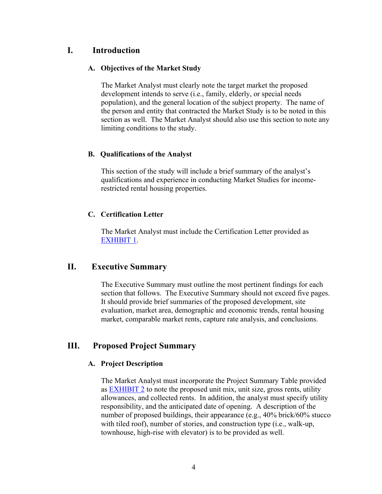# **I. Introduction**

# **A. Objectives of the Market Study**

The Market Analyst must clearly note the target market the proposed development intends to serve (i.e., family, elderly, or special needs population), and the general location of the subject property. The name of the person and entity that contracted the Market Study is to be noted in this section as well. The Market Analyst should also use this section to note any limiting conditions to the study.

# **B. Qualifications of the Analyst**

This section of the study will include a brief summary of the analyst's qualifications and experience in conducting Market Studies for incomerestricted rental housing properties.

# **C. Certification Letter**

The Market Analyst must include the Certification Letter provided as [EXHIBIT 1.](#page-13-0)

# **II. Executive Summary**

The Executive Summary must outline the most pertinent findings for each section that follows. The Executive Summary should not exceed five pages. It should provide brief summaries of the proposed development, site evaluation, market area, demographic and economic trends, rental housing market, comparable market rents, capture rate analysis, and conclusions.

# **III. Proposed Project Summary**

# **A. Project Description**

The Market Analyst must incorporate the Project Summary Table provided as [EXHIBIT 2](#page-14-0) to note the proposed unit mix, unit size, gross rents, utility allowances, and collected rents. In addition, the analyst must specify utility responsibility, and the anticipated date of opening. A description of the number of proposed buildings, their appearance (e.g., 40% brick/60% stucco with tiled roof), number of stories, and construction type (i.e., walk-up, townhouse, high-rise with elevator) is to be provided as well.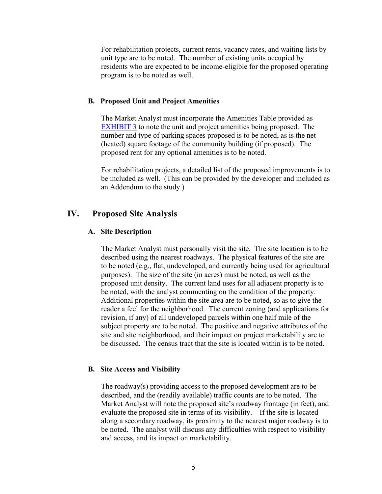For rehabilitation projects, current rents, vacancy rates, and waiting lists by unit type are to be noted. The number of existing units occupied by residents who are expected to be income-eligible for the proposed operating program is to be noted as well.

#### **B. Proposed Unit and Project Amenities**

The Market Analyst must incorporate the Amenities Table provided as [EXHIBIT 3](#page-15-0) to note the unit and project amenities being proposed. The number and type of parking spaces proposed is to be noted, as is the net (heated) square footage of the community building (if proposed). The proposed rent for any optional amenities is to be noted.

For rehabilitation projects, a detailed list of the proposed improvements is to be included as well. (This can be provided by the developer and included as an Addendum to the study.)

# **IV. Proposed Site Analysis**

### **A. Site Description**

The Market Analyst must personally visit the site. The site location is to be described using the nearest roadways. The physical features of the site are to be noted (e.g., flat, undeveloped, and currently being used for agricultural purposes). The size of the site (in acres) must be noted, as well as the proposed unit density. The current land uses for all adjacent property is to be noted, with the analyst commenting on the condition of the property. Additional properties within the site area are to be noted, so as to give the reader a feel for the neighborhood. The current zoning (and applications for revision, if any) of all undeveloped parcels within one half mile of the subject property are to be noted. The positive and negative attributes of the site and site neighborhood, and their impact on project marketability are to be discussed. The census tract that the site is located within is to be noted.

#### **B. Site Access and Visibility**

The roadway(s) providing access to the proposed development are to be described, and the (readily available) traffic counts are to be noted. The Market Analyst will note the proposed site's roadway frontage (in feet), and evaluate the proposed site in terms of its visibility. If the site is located along a secondary roadway, its proximity to the nearest major roadway is to be noted. The analyst will discuss any difficulties with respect to visibility and access, and its impact on marketability.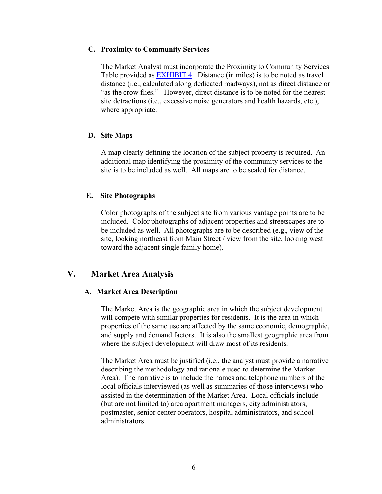### **C. Proximity to Community Services**

The Market Analyst must incorporate the Proximity to Community Services Table provided as **EXHIBIT 4**. Distance (in miles) is to be noted as travel distance (i.e., calculated along dedicated roadways), not as direct distance or "as the crow flies." However, direct distance is to be noted for the nearest site detractions (i.e., excessive noise generators and health hazards, etc.), where appropriate.

# **D. Site Maps**

A map clearly defining the location of the subject property is required. An additional map identifying the proximity of the community services to the site is to be included as well. All maps are to be scaled for distance.

### **E. Site Photographs**

Color photographs of the subject site from various vantage points are to be included. Color photographs of adjacent properties and streetscapes are to be included as well. All photographs are to be described (e.g., view of the site, looking northeast from Main Street / view from the site, looking west toward the adjacent single family home).

# **V. Market Area Analysis**

#### **A. Market Area Description**

The Market Area is the geographic area in which the subject development will compete with similar properties for residents. It is the area in which properties of the same use are affected by the same economic, demographic, and supply and demand factors. It is also the smallest geographic area from where the subject development will draw most of its residents.

The Market Area must be justified (i.e., the analyst must provide a narrative describing the methodology and rationale used to determine the Market Area). The narrative is to include the names and telephone numbers of the local officials interviewed (as well as summaries of those interviews) who assisted in the determination of the Market Area. Local officials include (but are not limited to) area apartment managers, city administrators, postmaster, senior center operators, hospital administrators, and school administrators.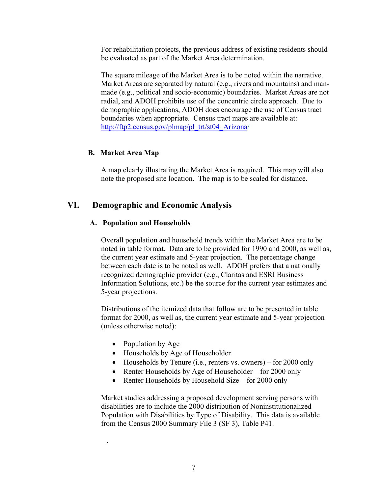For rehabilitation projects, the previous address of existing residents should be evaluated as part of the Market Area determination.

The square mileage of the Market Area is to be noted within the narrative. Market Areas are separated by natural (e.g., rivers and mountains) and manmade (e.g., political and socio-economic) boundaries. Market Areas are not radial, and ADOH prohibits use of the concentric circle approach. Due to demographic applications, ADOH does encourage the use of Census tract boundaries when appropriate. Census tract maps are available at: [http://ftp2.census.gov/plmap/pl\\_trt/st04\\_Arizona/](http://ftp2.census.gov/plmap/pl_trt/st04_Arizona)

# **B. Market Area Map**

A map clearly illustrating the Market Area is required. This map will also note the proposed site location. The map is to be scaled for distance.

# **VI. Demographic and Economic Analysis**

# **A. Population and Households**

Overall population and household trends within the Market Area are to be noted in table format. Data are to be provided for 1990 and 2000, as well as, the current year estimate and 5-year projection. The percentage change between each date is to be noted as well. ADOH prefers that a nationally recognized demographic provider (e.g., Claritas and ESRI Business Information Solutions, etc.) be the source for the current year estimates and 5-year projections.

Distributions of the itemized data that follow are to be presented in table format for 2000, as well as, the current year estimate and 5-year projection (unless otherwise noted):

• Population by Age

.

- Households by Age of Householder
- Households by Tenure (i.e., renters vs. owners) for 2000 only
- Renter Households by Age of Householder for 2000 only
- Renter Households by Household Size for 2000 only

Market studies addressing a proposed development serving persons with disabilities are to include the 2000 distribution of Noninstitutionalized Population with Disabilities by Type of Disability. This data is available from the Census 2000 Summary File 3 (SF 3), Table P41.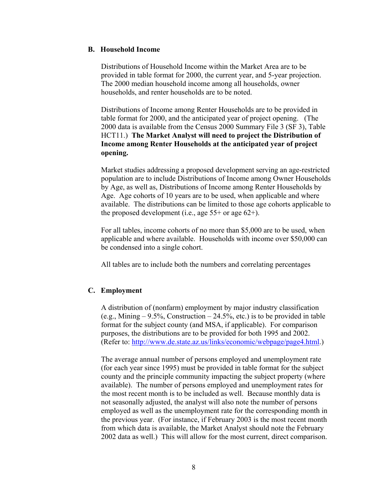### **B. Household Income**

Distributions of Household Income within the Market Area are to be provided in table format for 2000, the current year, and 5-year projection. The 2000 median household income among all households, owner households, and renter households are to be noted.

Distributions of Income among Renter Households are to be provided in table format for 2000, and the anticipated year of project opening. (The 2000 data is available from the Census 2000 Summary File 3 (SF 3), Table HCT11.) **The Market Analyst will need to project the Distribution of Income among Renter Households at the anticipated year of project opening.**

Market studies addressing a proposed development serving an age-restricted population are to include Distributions of Income among Owner Households by Age, as well as, Distributions of Income among Renter Households by Age. Age cohorts of 10 years are to be used, when applicable and where available. The distributions can be limited to those age cohorts applicable to the proposed development (i.e., age  $55+$  or age  $62+$ ).

For all tables, income cohorts of no more than \$5,000 are to be used, when applicable and where available. Households with income over \$50,000 can be condensed into a single cohort.

All tables are to include both the numbers and correlating percentages

# **C. Employment**

A distribution of (nonfarm) employment by major industry classification (e.g., Mining  $-9.5\%$ , Construction  $-24.5\%$ , etc.) is to be provided in table format for the subject county (and MSA, if applicable). For comparison purposes, the distributions are to be provided for both 1995 and 2002. (Refer to:<http://www.de.state.az.us/links/economic/webpage/page4.html>.)

The average annual number of persons employed and unemployment rate (for each year since 1995) must be provided in table format for the subject county and the principle community impacting the subject property (where available). The number of persons employed and unemployment rates for the most recent month is to be included as well. Because monthly data is not seasonally adjusted, the analyst will also note the number of persons employed as well as the unemployment rate for the corresponding month in the previous year. (For instance, if February 2003 is the most recent month from which data is available, the Market Analyst should note the February 2002 data as well.) This will allow for the most current, direct comparison.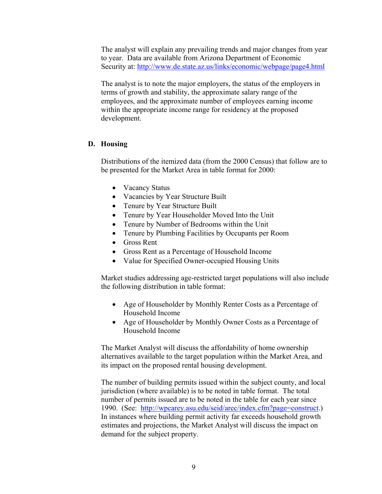The analyst will explain any prevailing trends and major changes from year to year. Data are available from Arizona Department of Economic Security at:<http://www.de.state.az.us/links/economic/webpage/page4.html>

The analyst is to note the major employers, the status of the employers in terms of growth and stability, the approximate salary range of the employees, and the approximate number of employees earning income within the appropriate income range for residency at the proposed development.

# **D. Housing**

Distributions of the itemized data (from the 2000 Census) that follow are to be presented for the Market Area in table format for 2000:

- Vacancy Status
- Vacancies by Year Structure Built
- Tenure by Year Structure Built
- Tenure by Year Householder Moved Into the Unit
- Tenure by Number of Bedrooms within the Unit
- Tenure by Plumbing Facilities by Occupants per Room
- Gross Rent
- Gross Rent as a Percentage of Household Income
- Value for Specified Owner-occupied Housing Units

Market studies addressing age-restricted target populations will also include the following distribution in table format:

- Age of Householder by Monthly Renter Costs as a Percentage of Household Income
- Age of Householder by Monthly Owner Costs as a Percentage of Household Income

The Market Analyst will discuss the affordability of home ownership alternatives available to the target population within the Market Area, and its impact on the proposed rental housing development.

The number of building permits issued within the subject county, and local jurisdiction (where available) is to be noted in table format. The total number of permits issued are to be noted in the table for each year since 1990. (See: [http://wpcarey.asu.edu/seid/arec/index.cfm?page=construct.](http://wpcarey.asu.edu/seid/arec/index.cfm?page=construct)) In instances where building permit activity far exceeds household growth estimates and projections, the Market Analyst will discuss the impact on demand for the subject property.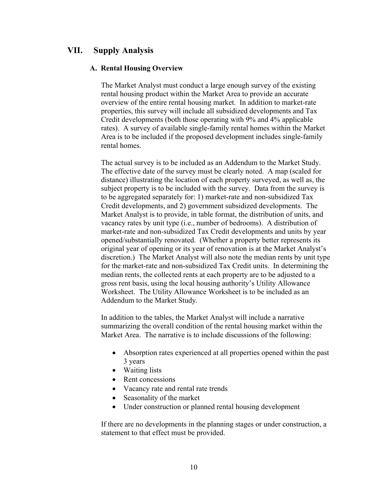# **VII. Supply Analysis**

### **A. Rental Housing Overview**

The Market Analyst must conduct a large enough survey of the existing rental housing product within the Market Area to provide an accurate overview of the entire rental housing market. In addition to market-rate properties, this survey will include all subsidized developments and Tax Credit developments (both those operating with 9% and 4% applicable rates). A survey of available single-family rental homes within the Market Area is to be included if the proposed development includes single-family rental homes.

The actual survey is to be included as an Addendum to the Market Study. The effective date of the survey must be clearly noted. A map (scaled for distance) illustrating the location of each property surveyed, as well as, the subject property is to be included with the survey. Data from the survey is to be aggregated separately for: 1) market-rate and non-subsidized Tax Credit developments, and 2) government subsidized developments. The Market Analyst is to provide, in table format, the distribution of units, and vacancy rates by unit type (i.e., number of bedrooms). A distribution of market-rate and non-subsidized Tax Credit developments and units by year opened/substantially renovated. (Whether a property better represents its original year of opening or its year of renovation is at the Market Analyst's discretion.) The Market Analyst will also note the median rents by unit type for the market-rate and non-subsidized Tax Credit units. In determining the median rents, the collected rents at each property are to be adjusted to a gross rent basis, using the local housing authority's Utility Allowance Worksheet. The Utility Allowance Worksheet is to be included as an Addendum to the Market Study.

In addition to the tables, the Market Analyst will include a narrative summarizing the overall condition of the rental housing market within the Market Area. The narrative is to include discussions of the following:

- Absorption rates experienced at all properties opened within the past 3 years
- Waiting lists
- Rent concessions
- Vacancy rate and rental rate trends
- Seasonality of the market
- Under construction or planned rental housing development

If there are no developments in the planning stages or under construction, a statement to that effect must be provided.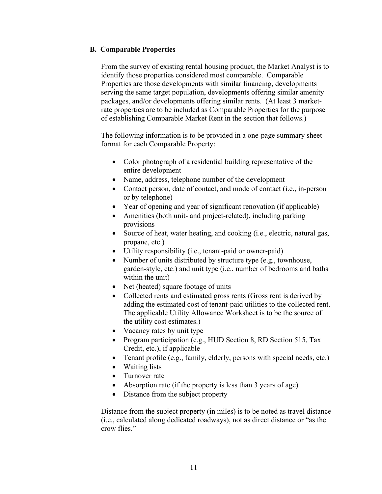# **B. Comparable Properties**

From the survey of existing rental housing product, the Market Analyst is to identify those properties considered most comparable. Comparable Properties are those developments with similar financing, developments serving the same target population, developments offering similar amenity packages, and/or developments offering similar rents. (At least 3 marketrate properties are to be included as Comparable Properties for the purpose of establishing Comparable Market Rent in the section that follows.)

The following information is to be provided in a one-page summary sheet format for each Comparable Property:

- Color photograph of a residential building representative of the entire development
- Name, address, telephone number of the development
- Contact person, date of contact, and mode of contact (i.e., in-person or by telephone)
- Year of opening and year of significant renovation (if applicable)
- Amenities (both unit- and project-related), including parking provisions
- Source of heat, water heating, and cooking (i.e., electric, natural gas, propane, etc.)
- Utility responsibility (i.e., tenant-paid or owner-paid)
- Number of units distributed by structure type (e.g., townhouse, garden-style, etc.) and unit type (i.e., number of bedrooms and baths within the unit)
- Net (heated) square footage of units
- Collected rents and estimated gross rents (Gross rent is derived by adding the estimated cost of tenant-paid utilities to the collected rent. The applicable Utility Allowance Worksheet is to be the source of the utility cost estimates.)
- Vacancy rates by unit type
- Program participation (e.g., HUD Section 8, RD Section 515, Tax Credit, etc.), if applicable
- Tenant profile (e.g., family, elderly, persons with special needs, etc.)
- Waiting lists
- Turnover rate
- Absorption rate (if the property is less than 3 years of age)
- Distance from the subject property

Distance from the subject property (in miles) is to be noted as travel distance (i.e., calculated along dedicated roadways), not as direct distance or "as the crow flies."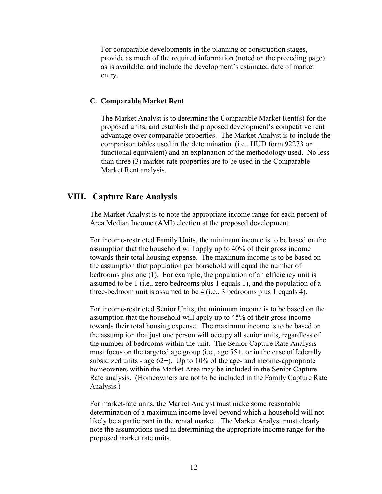For comparable developments in the planning or construction stages, provide as much of the required information (noted on the preceding page) as is available, and include the development's estimated date of market entry.

#### **C. Comparable Market Rent**

The Market Analyst is to determine the Comparable Market Rent(s) for the proposed units, and establish the proposed development's competitive rent advantage over comparable properties. The Market Analyst is to include the comparison tables used in the determination (i.e., HUD form 92273 or functional equivalent) and an explanation of the methodology used. No less than three (3) market-rate properties are to be used in the Comparable Market Rent analysis.

# **VIII. Capture Rate Analysis**

The Market Analyst is to note the appropriate income range for each percent of Area Median Income (AMI) election at the proposed development.

For income-restricted Family Units, the minimum income is to be based on the assumption that the household will apply up to 40% of their gross income towards their total housing expense. The maximum income is to be based on the assumption that population per household will equal the number of bedrooms plus one (1). For example, the population of an efficiency unit is assumed to be 1 (i.e., zero bedrooms plus 1 equals 1), and the population of a three-bedroom unit is assumed to be 4 (i.e., 3 bedrooms plus 1 equals 4).

For income-restricted Senior Units, the minimum income is to be based on the assumption that the household will apply up to 45% of their gross income towards their total housing expense. The maximum income is to be based on the assumption that just one person will occupy all senior units, regardless of the number of bedrooms within the unit. The Senior Capture Rate Analysis must focus on the targeted age group (i.e., age 55+, or in the case of federally subsidized units - age  $62+$ ). Up to 10% of the age- and income-appropriate homeowners within the Market Area may be included in the Senior Capture Rate analysis. (Homeowners are not to be included in the Family Capture Rate Analysis.)

For market-rate units, the Market Analyst must make some reasonable determination of a maximum income level beyond which a household will not likely be a participant in the rental market. The Market Analyst must clearly note the assumptions used in determining the appropriate income range for the proposed market rate units.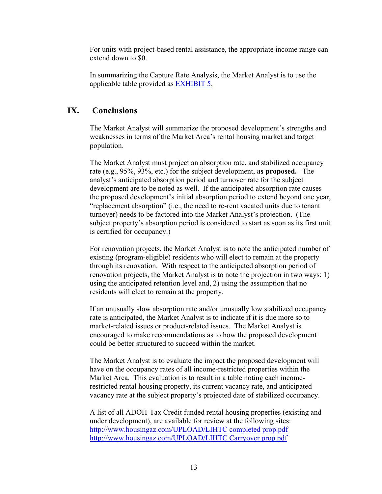For units with project-based rental assistance, the appropriate income range can extend down to \$0.

In summarizing the Capture Rate Analysis, the Market Analyst is to use the applicable table provided as [EXHIBIT 5](#page-17-0).

# **IX. Conclusions**

The Market Analyst will summarize the proposed development's strengths and weaknesses in terms of the Market Area's rental housing market and target population.

The Market Analyst must project an absorption rate, and stabilized occupancy rate (e.g., 95%, 93%, etc.) for the subject development, **as proposed.** The analyst's anticipated absorption period and turnover rate for the subject development are to be noted as well. If the anticipated absorption rate causes the proposed development's initial absorption period to extend beyond one year, "replacement absorption" (i.e., the need to re-rent vacated units due to tenant turnover) needs to be factored into the Market Analyst's projection. (The subject property's absorption period is considered to start as soon as its first unit is certified for occupancy.)

For renovation projects, the Market Analyst is to note the anticipated number of existing (program-eligible) residents who will elect to remain at the property through its renovation. With respect to the anticipated absorption period of renovation projects, the Market Analyst is to note the projection in two ways: 1) using the anticipated retention level and, 2) using the assumption that no residents will elect to remain at the property.

If an unusually slow absorption rate and/or unusually low stabilized occupancy rate is anticipated, the Market Analyst is to indicate if it is due more so to market-related issues or product-related issues. The Market Analyst is encouraged to make recommendations as to how the proposed development could be better structured to succeed within the market.

The Market Analyst is to evaluate the impact the proposed development will have on the occupancy rates of all income-restricted properties within the Market Area. This evaluation is to result in a table noting each incomerestricted rental housing property, its current vacancy rate, and anticipated vacancy rate at the subject property's projected date of stabilized occupancy.

A list of all ADOH-Tax Credit funded rental housing properties (existing and under development), are available for review at the following sites: <http://www.housingaz.com/UPLOAD/LIHTC completed prop.pdf> <http://www.housingaz.com/UPLOAD/LIHTC Carryover prop.pdf>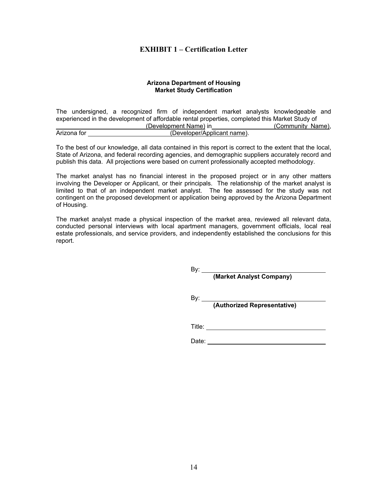# **EXHIBIT 1 – Certification Letter**

#### **Arizona Department of Housing Market Study Certification**

<span id="page-13-0"></span>The undersigned, a recognized firm of independent market analysts knowledgeable and experienced in the development of affordable rental properties, completed this Market Study of (Development Name) in (Community Name), Arizona for (Developer/Applicant name).

To the best of our knowledge, all data contained in this report is correct to the extent that the local, State of Arizona, and federal recording agencies, and demographic suppliers accurately record and publish this data. All projections were based on current professionally accepted methodology.

The market analyst has no financial interest in the proposed project or in any other matters involving the Developer or Applicant, or their principals. The relationship of the market analyst is limited to that of an independent market analyst. The fee assessed for the study was not contingent on the proposed development or application being approved by the Arizona Department of Housing.

The market analyst made a physical inspection of the market area, reviewed all relevant data, conducted personal interviews with local apartment managers, government officials, local real estate professionals, and service providers, and independently established the conclusions for this report.

By: \_\_\_\_

**(Market Analyst Company)** 

 $By:$ 

**(Authorized Representative)** 

Title: **The Communist Street Street Street Street Street Street Street Street Street Street Street Street Street Street Street Street Street Street Street Street Street Street Street Street Street Street Street Street Stre** 

| Date: |
|-------|
|-------|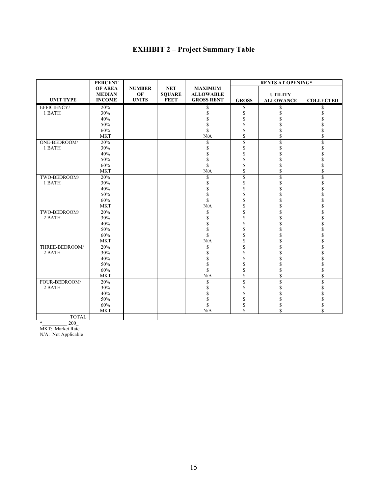# **EXHIBIT 2 – Project Summary Table**

<span id="page-14-0"></span>

|                  | <b>PERCENT</b>                 |                    |                              |                                       | <b>RENTS AT OPENING*</b> |                  |                      |
|------------------|--------------------------------|--------------------|------------------------------|---------------------------------------|--------------------------|------------------|----------------------|
|                  | <b>OF AREA</b>                 | <b>NUMBER</b>      | <b>NET</b>                   | <b>MAXIMUM</b>                        |                          |                  |                      |
| <b>UNIT TYPE</b> | <b>MEDIAN</b><br><b>INCOME</b> | OF<br><b>UNITS</b> | <b>SQUARE</b><br><b>FEET</b> | <b>ALLOWABLE</b><br><b>GROSS RENT</b> |                          | <b>UTILITY</b>   |                      |
|                  |                                |                    |                              |                                       | <b>GROSS</b>             | <b>ALLOWANCE</b> | <b>COLLECTED</b>     |
| EFFICIENCY/      | 20%                            |                    |                              | \$                                    | \$                       | S                | \$                   |
| 1 BATH           | 30%                            |                    |                              | \$                                    | \$                       | \$               | \$                   |
|                  | 40%                            |                    |                              | \$                                    | \$                       |                  | \$                   |
|                  | 50%                            |                    |                              | \$                                    | \$                       | \$               | $\overline{\$}$      |
|                  | 60%                            |                    |                              | \$                                    | \$                       | \$               | \$                   |
|                  | <b>MKT</b>                     |                    |                              | N/A                                   | \$                       | \$               | \$                   |
| ONE-BEDROOM/     | 20%                            |                    |                              | \$                                    | \$                       | \$               | \$                   |
| 1 BATH           | 30%                            |                    |                              | \$                                    | \$                       | \$               | \$                   |
|                  | 40%                            |                    |                              | \$                                    | \$                       |                  | \$                   |
|                  | 50%                            |                    |                              | \$                                    | \$                       |                  | \$                   |
|                  | 60%                            |                    |                              | \$                                    | \$                       | \$               | \$                   |
|                  | <b>MKT</b>                     |                    |                              | N/A                                   | \$                       | \$               | \$                   |
| TWO-BEDROOM/     | 20%                            |                    |                              | \$                                    | \$                       | $\mathbf S$      | \$                   |
| 1 BATH           | 30%                            |                    |                              | \$                                    | \$                       | \$               | \$                   |
|                  | 40%                            |                    |                              | \$                                    | \$                       | \$               | \$                   |
|                  | 50%                            |                    |                              | \$                                    | \$                       |                  | \$                   |
|                  | 60%                            |                    |                              | \$                                    | \$                       |                  | \$                   |
|                  | <b>MKT</b>                     |                    |                              | N/A                                   | \$                       | \$               | \$                   |
| TWO-BEDROOM/     | 20%                            |                    |                              | \$                                    | \$                       | \$               | \$                   |
| 2 BATH           | 30%                            |                    |                              | \$                                    | \$                       | \$               | \$                   |
|                  | 40%                            |                    |                              | \$                                    | \$                       |                  | \$                   |
|                  | 50%                            |                    |                              | \$                                    | \$                       |                  | \$                   |
|                  | 60%                            |                    |                              | \$                                    | \$                       | \$               | \$                   |
|                  | <b>MKT</b>                     |                    |                              | N/A                                   | \$                       | \$               | \$                   |
| THREE-BEDROOM/   | 20%                            |                    |                              | \$                                    | $\mathbf S$              | $\mathbf S$      | $\sqrt{\ }$          |
| 2 BATH           | 30%                            |                    |                              | \$                                    | \$                       | \$               | \$                   |
|                  | 40%                            |                    |                              | \$                                    | \$                       |                  | \$<br>\$             |
|                  | 50%                            |                    |                              | $\overline{\$}$                       | \$                       |                  |                      |
|                  | 60%                            |                    |                              | \$                                    | \$                       |                  | \$                   |
|                  | <b>MKT</b>                     |                    |                              | N/A                                   | \$                       | \$               | $\dot{\mathbf{s}}$   |
| FOUR-BEDROOM/    | 20%                            |                    |                              | \$                                    | \$                       | \$               | $\sqrt{\frac{2}{3}}$ |
| 2 BATH           | 30%                            |                    |                              | \$                                    | \$                       | \$               |                      |
|                  | 40%                            |                    |                              | \$                                    | \$                       |                  | s<br>\$<br>\$        |
|                  | 50%                            |                    |                              | \$                                    | \$                       | \$               |                      |
|                  | 60%                            |                    |                              | \$                                    | \$                       | \$               | \$                   |
|                  | <b>MKT</b>                     |                    |                              | N/A                                   | \$                       | $\mathbf S$      | \$                   |
| <b>TOTAL</b>     |                                |                    |                              |                                       |                          |                  |                      |

TOTAL

 $*$  200 MKT: Market Rate

N/A: Not Applicable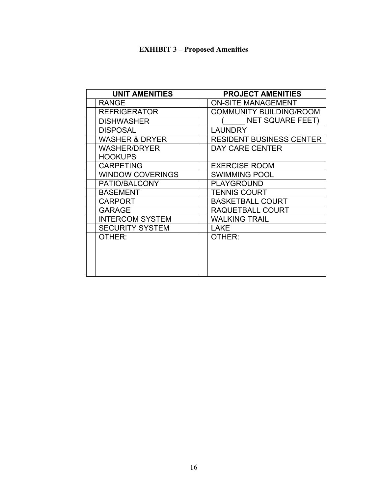# **EXHIBIT 3 – Proposed Amenities**

<span id="page-15-0"></span>

| <b>UNIT AMENITIES</b>     | <b>PROJECT AMENITIES</b>        |
|---------------------------|---------------------------------|
| <b>RANGE</b>              | <b>ON-SITE MANAGEMENT</b>       |
| <b>REFRIGERATOR</b>       | <b>COMMUNITY BUILDING/ROOM</b>  |
| <b>DISHWASHER</b>         | <b>NET SQUARE FEET)</b>         |
| <b>DISPOSAL</b>           | LAUNDRY                         |
| <b>WASHER &amp; DRYER</b> | <b>RESIDENT BUSINESS CENTER</b> |
| <b>WASHER/DRYER</b>       | DAY CARE CENTER                 |
| <b>HOOKUPS</b>            |                                 |
| <b>CARPETING</b>          | <b>EXERCISE ROOM</b>            |
| <b>WINDOW COVERINGS</b>   | <b>SWIMMING POOL</b>            |
| PATIO/BALCONY             | <b>PLAYGROUND</b>               |
| <b>BASEMENT</b>           | <b>TENNIS COURT</b>             |
| <b>CARPORT</b>            | <b>BASKETBALL COURT</b>         |
| <b>GARAGE</b>             | RAQUETBALL COURT                |
| <b>INTERCOM SYSTEM</b>    | <b>WALKING TRAIL</b>            |
| <b>SECURITY SYSTEM</b>    | <b>LAKE</b>                     |
| OTHER:                    | OTHER:                          |
|                           |                                 |
|                           |                                 |
|                           |                                 |
|                           |                                 |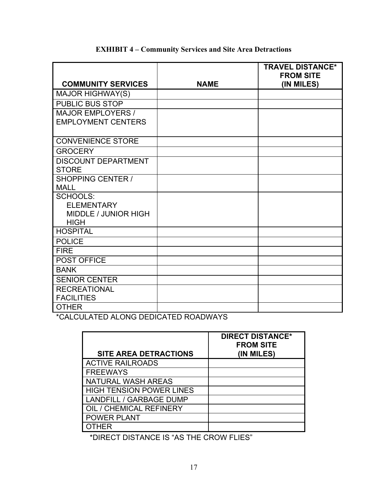<span id="page-16-0"></span>

|                                            |             | <b>TRAVEL DISTANCE*</b><br><b>FROM SITE</b> |
|--------------------------------------------|-------------|---------------------------------------------|
| <b>COMMUNITY SERVICES</b>                  | <b>NAME</b> | (IN MILES)                                  |
| <b>MAJOR HIGHWAY(S)</b>                    |             |                                             |
| <b>PUBLIC BUS STOP</b>                     |             |                                             |
| <b>MAJOR EMPLOYERS /</b>                   |             |                                             |
| <b>EMPLOYMENT CENTERS</b>                  |             |                                             |
| <b>CONVENIENCE STORE</b>                   |             |                                             |
| <b>GROCERY</b>                             |             |                                             |
| <b>DISCOUNT DEPARTMENT</b>                 |             |                                             |
| <b>STORE</b>                               |             |                                             |
| <b>SHOPPING CENTER /</b>                   |             |                                             |
| <b>MALL</b>                                |             |                                             |
| <b>SCHOOLS:</b>                            |             |                                             |
| <b>ELEMENTARY</b>                          |             |                                             |
| <b>MIDDLE / JUNIOR HIGH</b><br><b>HIGH</b> |             |                                             |
| <b>HOSPITAL</b>                            |             |                                             |
| <b>POLICE</b>                              |             |                                             |
|                                            |             |                                             |
| <b>FIRE</b>                                |             |                                             |
| POST OFFICE                                |             |                                             |
| <b>BANK</b>                                |             |                                             |
| <b>SENIOR CENTER</b>                       |             |                                             |
| <b>RECREATIONAL</b>                        |             |                                             |
| <b>FACILITIES</b>                          |             |                                             |
| <b>OTHER</b>                               |             |                                             |

# **EXHIBIT 4 – Community Services and Site Area Detractions**

\*CALCULATED ALONG DEDICATED ROADWAYS

| <b>SITE AREA DETRACTIONS</b>    | <b>DIRECT DISTANCE*</b><br><b>FROM SITE</b><br>(IN MILES) |
|---------------------------------|-----------------------------------------------------------|
| <b>ACTIVE RAILROADS</b>         |                                                           |
| <b>FREEWAYS</b>                 |                                                           |
| NATURAL WASH AREAS              |                                                           |
| <b>HIGH TENSION POWER LINES</b> |                                                           |
| <b>LANDFILL / GARBAGE DUMP</b>  |                                                           |
| OIL / CHEMICAL REFINERY         |                                                           |
| <b>POWER PLANT</b>              |                                                           |
| <b>OTHER</b>                    |                                                           |

\*DIRECT DISTANCE IS "AS THE CROW FLIES"